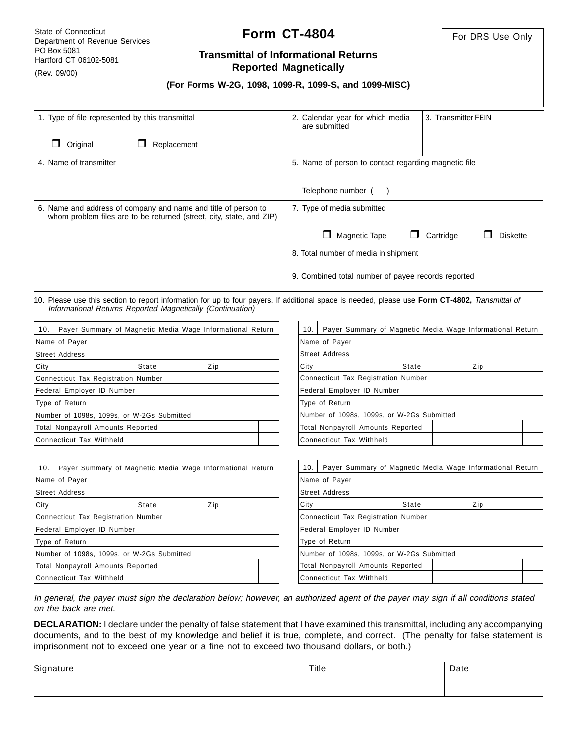State of Connecticut Department of Revenue Services PO Box 5081 Hartford CT 06102-5081

#### (Rev. 09/00)

# **Form CT-4804**

For DRS Use Only

# **Transmittal of Informational Returns Reported Magnetically**

|  |  |  |  |  |  | (For Forms W-2G, 1098, 1099-R, 1099-S, and 1099-MISC) |
|--|--|--|--|--|--|-------------------------------------------------------|
|--|--|--|--|--|--|-------------------------------------------------------|

| 1. Type of file represented by this transmittal                                                                                        | 2. Calendar year for which media<br>3. Transmitter FEIN<br>are submitted |  |  |  |
|----------------------------------------------------------------------------------------------------------------------------------------|--------------------------------------------------------------------------|--|--|--|
| Original<br>Replacement                                                                                                                |                                                                          |  |  |  |
| 4. Name of transmitter                                                                                                                 | 5. Name of person to contact regarding magnetic file                     |  |  |  |
|                                                                                                                                        | Telephone number (                                                       |  |  |  |
| 6. Name and address of company and name and title of person to<br>whom problem files are to be returned (street, city, state, and ZIP) | 7. Type of media submitted                                               |  |  |  |
|                                                                                                                                        | Magnetic Tape<br>Cartridge<br><b>Diskette</b>                            |  |  |  |
|                                                                                                                                        | 8. Total number of media in shipment                                     |  |  |  |
|                                                                                                                                        | 9. Combined total number of payee records reported                       |  |  |  |

10. Please use this section to report information for up to four payers. If additional space is needed, please use **Form CT-4802,** Transmittal of Informational Returns Reported Magnetically (Continuation)

| 10.                                        | Payer Summary of Magnetic Media Wage Informational Return |  |  |  |  |
|--------------------------------------------|-----------------------------------------------------------|--|--|--|--|
|                                            | Name of Payer                                             |  |  |  |  |
|                                            | Street Address                                            |  |  |  |  |
| City                                       | State<br>Zip                                              |  |  |  |  |
|                                            | Connecticut Tax Registration Number                       |  |  |  |  |
|                                            | Federal Employer ID Number                                |  |  |  |  |
|                                            | Type of Return                                            |  |  |  |  |
| Number of 1098s, 1099s, or W-2Gs Submitted |                                                           |  |  |  |  |
|                                            | Total Nonpayroll Amounts Reported                         |  |  |  |  |
|                                            | Connecticut Tax Withheld                                  |  |  |  |  |

| 10.                                        | Payer Summary of Magnetic Media Wage Informational Return |     |  |  |
|--------------------------------------------|-----------------------------------------------------------|-----|--|--|
|                                            | Name of Payer                                             |     |  |  |
|                                            | Street Address                                            |     |  |  |
| City                                       | State                                                     | Zip |  |  |
| <b>Connecticut Tax Registration Number</b> |                                                           |     |  |  |
|                                            | Federal Employer ID Number                                |     |  |  |
|                                            | Type of Return                                            |     |  |  |
| Number of 1098s, 1099s, or W-2Gs Submitted |                                                           |     |  |  |
|                                            | Total Nonpayroll Amounts Reported                         |     |  |  |
|                                            | Connecticut Tax Withheld                                  |     |  |  |

| 10.                                        | Payer Summary of Magnetic Media Wage Informational Return |  |  |  |  |
|--------------------------------------------|-----------------------------------------------------------|--|--|--|--|
|                                            | Name of Payer                                             |  |  |  |  |
| Street Address                             |                                                           |  |  |  |  |
| City                                       | State<br>Zip                                              |  |  |  |  |
| <b>Connecticut Tax Registration Number</b> |                                                           |  |  |  |  |
| Federal Employer ID Number                 |                                                           |  |  |  |  |
| Type of Return                             |                                                           |  |  |  |  |
| Number of 1098s, 1099s, or W-2Gs Submitted |                                                           |  |  |  |  |
|                                            | Total Nonpayroll Amounts Reported                         |  |  |  |  |
|                                            | Connecticut Tax Withheld                                  |  |  |  |  |

| 10.                                        | Payer Summary of Magnetic Media Wage Informational Return |     |  |  |
|--------------------------------------------|-----------------------------------------------------------|-----|--|--|
|                                            | Name of Payer                                             |     |  |  |
| <b>Street Address</b>                      |                                                           |     |  |  |
| City                                       | State                                                     | Zip |  |  |
| Connecticut Tax Registration Number        |                                                           |     |  |  |
| Federal Employer ID Number                 |                                                           |     |  |  |
| Type of Return                             |                                                           |     |  |  |
| Number of 1098s, 1099s, or W-2Gs Submitted |                                                           |     |  |  |
|                                            | Total Nonpayroll Amounts Reported                         |     |  |  |
|                                            | lConnecticut Tax Withheld                                 |     |  |  |

In general, the payer must sign the declaration below; however, an authorized agent of the payer may sign if all conditions stated on the back are met.

**DECLARATION:** I declare under the penalty of false statement that I have examined this transmittal, including any accompanying documents, and to the best of my knowledge and belief it is true, complete, and correct. (The penalty for false statement is imprisonment not to exceed one year or a fine not to exceed two thousand dollars, or both.)

| Signature | Title | Date |
|-----------|-------|------|
|           |       |      |